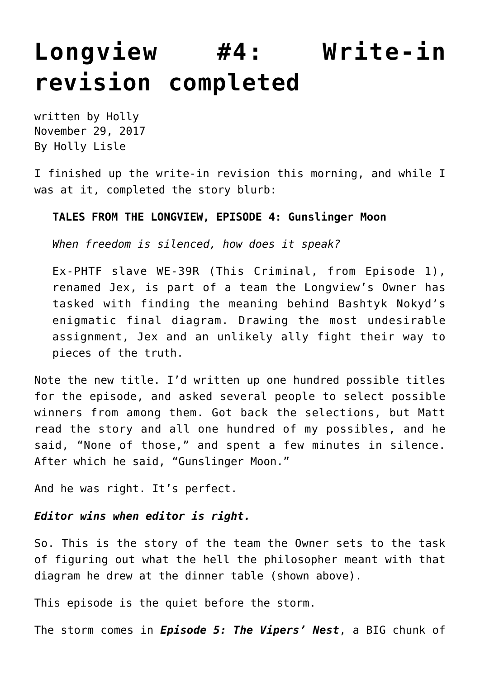## **[Longview #4: Write-in](https://hollylisle.com/longview-4-write-in-revision-completed/) [revision completed](https://hollylisle.com/longview-4-write-in-revision-completed/)**

written by Holly November 29, 2017 [By Holly Lisle](https://hollylisle.com)

I finished up the write-in revision this morning, and while I was at it, completed the story blurb:

## **TALES FROM THE LONGVIEW, EPISODE 4: Gunslinger Moon**

*When freedom is silenced, how does it speak?*

Ex-PHTF slave WE-39R (This Criminal, from Episode 1), renamed Jex, is part of a team the Longview's Owner has tasked with finding the meaning behind Bashtyk Nokyd's enigmatic final diagram. Drawing the most undesirable assignment, Jex and an unlikely ally fight their way to pieces of the truth.

Note the new title. I'd written up one hundred possible titles for the episode, and asked several people to select possible winners from among them. Got back the selections, but Matt read the story and all one hundred of my possibles, and he said, "None of those," and spent a few minutes in silence. After which he said, "Gunslinger Moon."

And he was right. It's perfect.

## *Editor wins when editor is right.*

So. This is the story of the team the Owner sets to the task of figuring out what the hell the philosopher meant with that diagram he drew at the dinner table (shown above).

This episode is the quiet before the storm.

The storm comes in *Episode 5: The Vipers' Nest*, a BIG chunk of